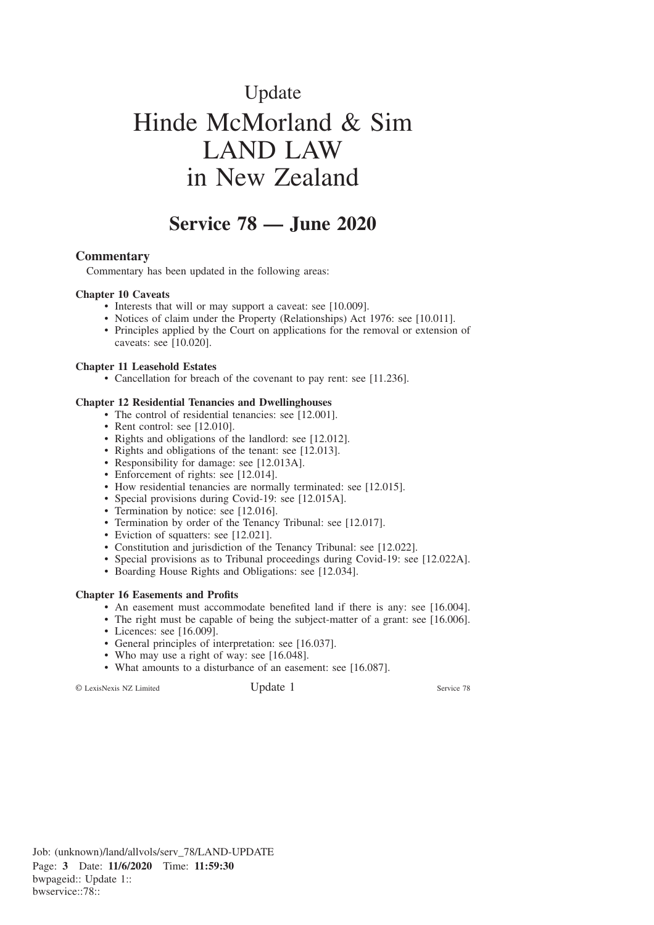# Update Hinde McMorland & Sim LAND LAW in New Zealand

# **Service 78 — June 2020**

#### **Commentary**

Commentary has been updated in the following areas:

#### **Chapter 10 Caveats**

- Interests that will or may support a caveat: see [10.009].
- Notices of claim under the Property (Relationships) Act 1976: see [10.011].
- Principles applied by the Court on applications for the removal or extension of caveats: see [10.020].

#### **Chapter 11 Leasehold Estates**

• Cancellation for breach of the covenant to pay rent: see [11.236].

#### **Chapter 12 Residential Tenancies and Dwellinghouses**

- The control of residential tenancies: see [12.001].
- Rent control: see [12.010].
- Rights and obligations of the landlord: see [12.012].
- Rights and obligations of the tenant: see [12.013].
- Responsibility for damage: see [12.013A].
- Enforcement of rights: see [12.014].
- How residential tenancies are normally terminated: see [12.015].
- Special provisions during Covid-19: see [12.015A].
- Termination by notice: see [12.016].
- Termination by order of the Tenancy Tribunal: see [12.017].
- Eviction of squatters: see [12.021].
- Constitution and jurisdiction of the Tenancy Tribunal: see [12.022].
- Special provisions as to Tribunal proceedings during Covid-19: see [12.022A].
- Boarding House Rights and Obligations: see [12.034].

#### **Chapter 16 Easements and Profits**

- An easement must accommodate benefited land if there is any: see [16.004].
- The right must be capable of being the subject-matter of a grant: see [16.006].
- Licences: see [16.009].
- General principles of interpretation: see [16.037].
- Who may use a right of way: see [16.048].
- What amounts to a disturbance of an easement: see [16.087].